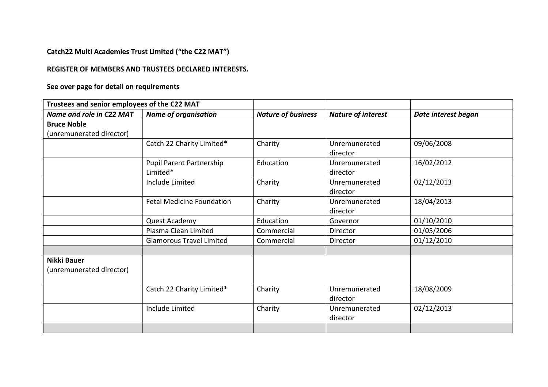## **Catch22 Multi Academies Trust Limited ("the C22 MAT")**

## **REGISTER OF MEMBERS AND TRUSTEES DECLARED INTERESTS.**

**See over page for detail on requirements**

| Trustees and senior employees of the C22 MAT |                                  |                           |                           |                     |
|----------------------------------------------|----------------------------------|---------------------------|---------------------------|---------------------|
| Name and role in C22 MAT                     | <b>Name of organisation</b>      | <b>Nature of business</b> | <b>Nature of interest</b> | Date interest began |
| <b>Bruce Noble</b>                           |                                  |                           |                           |                     |
| (unremunerated director)                     |                                  |                           |                           |                     |
|                                              | Catch 22 Charity Limited*        | Charity                   | Unremunerated             | 09/06/2008          |
|                                              |                                  |                           | director                  |                     |
|                                              | <b>Pupil Parent Partnership</b>  | Education                 | Unremunerated             | 16/02/2012          |
|                                              | Limited*                         |                           | director                  |                     |
|                                              | Include Limited                  | Charity                   | Unremunerated             | 02/12/2013          |
|                                              |                                  |                           | director                  |                     |
|                                              | <b>Fetal Medicine Foundation</b> | Charity                   | Unremunerated             | 18/04/2013          |
|                                              |                                  |                           | director                  |                     |
|                                              | Quest Academy                    | Education                 | Governor                  | 01/10/2010          |
|                                              | Plasma Clean Limited             | Commercial                | Director                  | 01/05/2006          |
|                                              | <b>Glamorous Travel Limited</b>  | Commercial                | Director                  | 01/12/2010          |
|                                              |                                  |                           |                           |                     |
| <b>Nikki Bauer</b>                           |                                  |                           |                           |                     |
| (unremunerated director)                     |                                  |                           |                           |                     |
|                                              | Catch 22 Charity Limited*        | Charity                   | Unremunerated             | 18/08/2009          |
|                                              |                                  |                           | director                  |                     |
|                                              | Include Limited                  | Charity                   | Unremunerated             | 02/12/2013          |
|                                              |                                  |                           | director                  |                     |
|                                              |                                  |                           |                           |                     |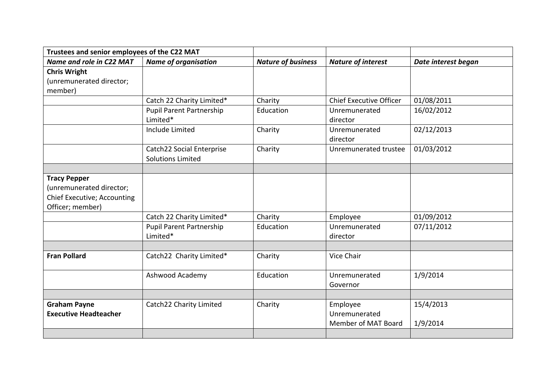| Trustees and senior employees of the C22 MAT |                             |                           |                                |                     |
|----------------------------------------------|-----------------------------|---------------------------|--------------------------------|---------------------|
| Name and role in C22 MAT                     | <b>Name of organisation</b> | <b>Nature of business</b> | <b>Nature of interest</b>      | Date interest began |
| <b>Chris Wright</b>                          |                             |                           |                                |                     |
| (unremunerated director;                     |                             |                           |                                |                     |
| member)                                      |                             |                           |                                |                     |
|                                              | Catch 22 Charity Limited*   | Charity                   | <b>Chief Executive Officer</b> | 01/08/2011          |
|                                              | Pupil Parent Partnership    | Education                 | Unremunerated                  | 16/02/2012          |
|                                              | Limited*                    |                           | director                       |                     |
|                                              | <b>Include Limited</b>      | Charity                   | Unremunerated                  | 02/12/2013          |
|                                              |                             |                           | director                       |                     |
|                                              | Catch22 Social Enterprise   | Charity                   | Unremunerated trustee          | 01/03/2012          |
|                                              | <b>Solutions Limited</b>    |                           |                                |                     |
|                                              |                             |                           |                                |                     |
| <b>Tracy Pepper</b>                          |                             |                           |                                |                     |
| (unremunerated director;                     |                             |                           |                                |                     |
| Chief Executive; Accounting                  |                             |                           |                                |                     |
| Officer; member)                             |                             |                           |                                |                     |
|                                              | Catch 22 Charity Limited*   | Charity                   | Employee                       | 01/09/2012          |
|                                              | Pupil Parent Partnership    | Education                 | Unremunerated                  | 07/11/2012          |
|                                              | Limited*                    |                           | director                       |                     |
|                                              |                             |                           |                                |                     |
| <b>Fran Pollard</b>                          | Catch22 Charity Limited*    | Charity                   | Vice Chair                     |                     |
|                                              |                             |                           |                                |                     |
|                                              | Ashwood Academy             | Education                 | Unremunerated                  | 1/9/2014            |
|                                              |                             |                           | Governor                       |                     |
|                                              |                             |                           |                                |                     |
| <b>Graham Payne</b>                          | Catch22 Charity Limited     | Charity                   | Employee                       | 15/4/2013           |
| <b>Executive Headteacher</b>                 |                             |                           | Unremunerated                  |                     |
|                                              |                             |                           | Member of MAT Board            | 1/9/2014            |
|                                              |                             |                           |                                |                     |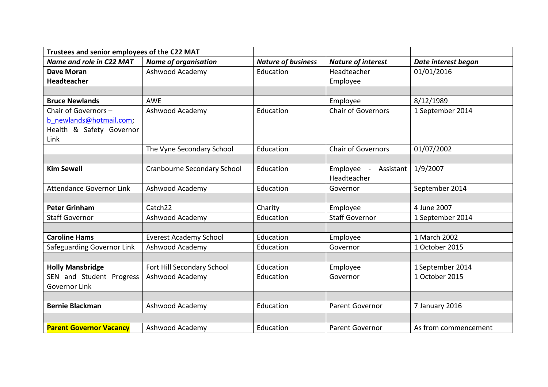| Trustees and senior employees of the C22 MAT |                                    |                           |                                     |                      |
|----------------------------------------------|------------------------------------|---------------------------|-------------------------------------|----------------------|
| Name and role in C22 MAT                     | <b>Name of organisation</b>        | <b>Nature of business</b> | <b>Nature of interest</b>           | Date interest began  |
| <b>Dave Moran</b>                            | Ashwood Academy                    | Education                 | Headteacher                         | 01/01/2016           |
| <b>Headteacher</b>                           |                                    |                           | Employee                            |                      |
|                                              |                                    |                           |                                     |                      |
| <b>Bruce Newlands</b>                        | <b>AWE</b>                         |                           | Employee                            | 8/12/1989            |
| Chair of Governors -                         | Ashwood Academy                    | Education                 | <b>Chair of Governors</b>           | 1 September 2014     |
| b newlands@hotmail.com;                      |                                    |                           |                                     |                      |
| Health & Safety Governor                     |                                    |                           |                                     |                      |
| Link                                         |                                    |                           |                                     |                      |
|                                              | The Vyne Secondary School          | Education                 | <b>Chair of Governors</b>           | 01/07/2002           |
|                                              |                                    |                           |                                     |                      |
| <b>Kim Sewell</b>                            | <b>Cranbourne Secondary School</b> | Education                 | Employee<br>Assistant<br>$\sim$ $-$ | 1/9/2007             |
|                                              |                                    |                           | Headteacher                         |                      |
| <b>Attendance Governor Link</b>              | Ashwood Academy                    | Education                 | Governor                            | September 2014       |
|                                              |                                    |                           |                                     |                      |
| <b>Peter Grinham</b>                         | Catch <sub>22</sub>                | Charity                   | Employee                            | 4 June 2007          |
| <b>Staff Governor</b>                        | Ashwood Academy                    | Education                 | <b>Staff Governor</b>               | 1 September 2014     |
|                                              |                                    |                           |                                     |                      |
| <b>Caroline Hams</b>                         | <b>Everest Academy School</b>      | Education                 | Employee                            | 1 March 2002         |
| Safeguarding Governor Link                   | Ashwood Academy                    | Education                 | Governor                            | 1 October 2015       |
|                                              |                                    |                           |                                     |                      |
| <b>Holly Mansbridge</b>                      | Fort Hill Secondary School         | Education                 | Employee                            | 1 September 2014     |
| SEN and Student Progress                     | Ashwood Academy                    | Education                 | Governor                            | 1 October 2015       |
| Governor Link                                |                                    |                           |                                     |                      |
|                                              |                                    |                           |                                     |                      |
| <b>Bernie Blackman</b>                       | Ashwood Academy                    | Education                 | <b>Parent Governor</b>              | 7 January 2016       |
|                                              |                                    |                           |                                     |                      |
| <b>Parent Governor Vacancy</b>               | Ashwood Academy                    | Education                 | Parent Governor                     | As from commencement |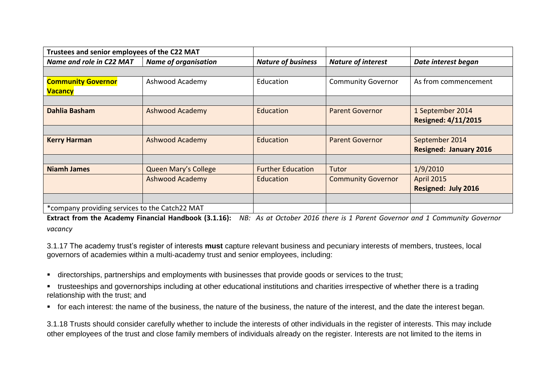| Trustees and senior employees of the C22 MAT   |                             |                           |                           |                               |
|------------------------------------------------|-----------------------------|---------------------------|---------------------------|-------------------------------|
| Name and role in C22 MAT                       | <b>Name of organisation</b> | <b>Nature of business</b> | <b>Nature of interest</b> | Date interest began           |
|                                                |                             |                           |                           |                               |
| <b>Community Governor</b>                      | Ashwood Academy             | Education                 | <b>Community Governor</b> | As from commencement          |
| <b>Vacancy</b>                                 |                             |                           |                           |                               |
|                                                |                             |                           |                           |                               |
| <b>Dahlia Basham</b>                           | <b>Ashwood Academy</b>      | Education                 | <b>Parent Governor</b>    | 1 September 2014              |
|                                                |                             |                           |                           | <b>Resigned: 4/11/2015</b>    |
|                                                |                             |                           |                           |                               |
| <b>Kerry Harman</b>                            | <b>Ashwood Academy</b>      | <b>Education</b>          | <b>Parent Governor</b>    | September 2014                |
|                                                |                             |                           |                           | <b>Resigned: January 2016</b> |
|                                                |                             |                           |                           |                               |
| <b>Niamh James</b>                             | <b>Queen Mary's College</b> | <b>Further Education</b>  | Tutor                     | 1/9/2010                      |
|                                                | <b>Ashwood Academy</b>      | Education                 | <b>Community Governor</b> | <b>April 2015</b>             |
|                                                |                             |                           |                           | <b>Resigned: July 2016</b>    |
|                                                |                             |                           |                           |                               |
| *company providing services to the Catch22 MAT |                             |                           |                           |                               |

**Extract from the Academy Financial Handbook (3.1.16):** *NB: As at October 2016 there is 1 Parent Governor and 1 Community Governor vacancy*

3.1.17 The academy trust's register of interests **must** capture relevant business and pecuniary interests of members, trustees, local governors of academies within a multi-academy trust and senior employees, including:

- directorships, partnerships and employments with businesses that provide goods or services to the trust;
- trusteeships and governorships including at other educational institutions and charities irrespective of whether there is a trading relationship with the trust; and
- for each interest: the name of the business, the nature of the business, the nature of the interest, and the date the interest began.

3.1.18 Trusts should consider carefully whether to include the interests of other individuals in the register of interests. This may include other employees of the trust and close family members of individuals already on the register. Interests are not limited to the items in